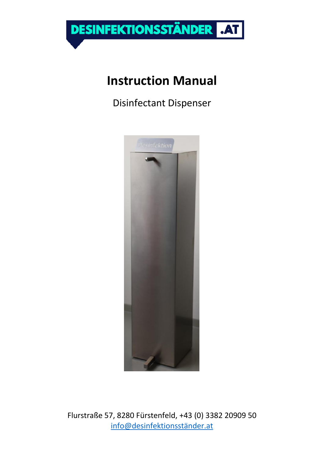

# **Instruction Manual**

Disinfectant Dispenser

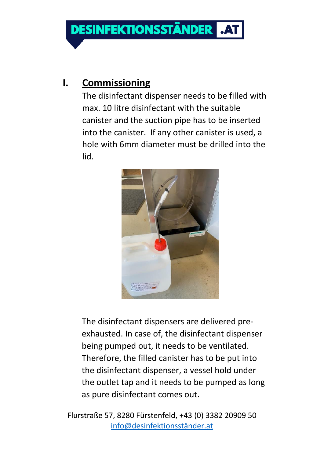**DESINFEKTIONSSTÄNDER** 

#### **I. Commissioning**

The disinfectant dispenser needs to be filled with max. 10 litre disinfectant with the suitable canister and the suction pipe has to be inserted into the canister. If any other canister is used, a hole with 6mm diameter must be drilled into the lid.



The disinfectant dispensers are delivered preexhausted. In case of, the disinfectant dispenser being pumped out, it needs to be ventilated. Therefore, the filled canister has to be put into the disinfectant dispenser, a vessel hold under the outlet tap and it needs to be pumped as long as pure disinfectant comes out.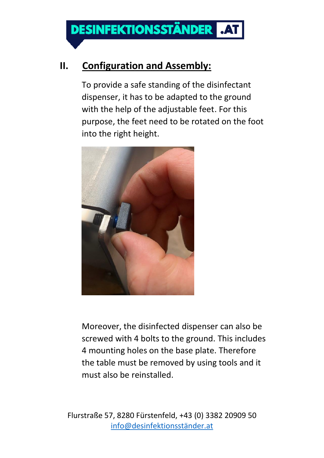## **II. Configuration and Assembly:**

To provide a safe standing of the disinfectant dispenser, it has to be adapted to the ground with the help of the adjustable feet. For this purpose, the feet need to be rotated on the foot into the right height.



Moreover, the disinfected dispenser can also be screwed with 4 bolts to the ground. This includes 4 mounting holes on the base plate. Therefore the table must be removed by using tools and it must also be reinstalled.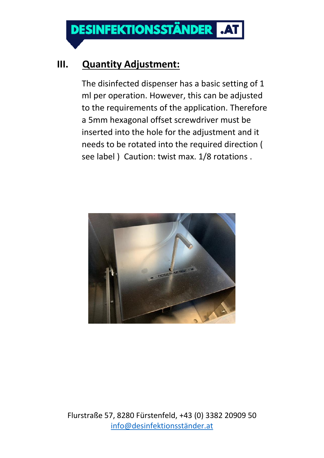**DESINFEKTIONSSTÄNDER** 

#### **III. Quantity Adjustment:**

The disinfected dispenser has a basic setting of 1 ml per operation. However, this can be adjusted to the requirements of the application. Therefore a 5mm hexagonal offset screwdriver must be inserted into the hole for the adjustment and it needs to be rotated into the required direction ( see label ) Caution: twist max. 1/8 rotations .

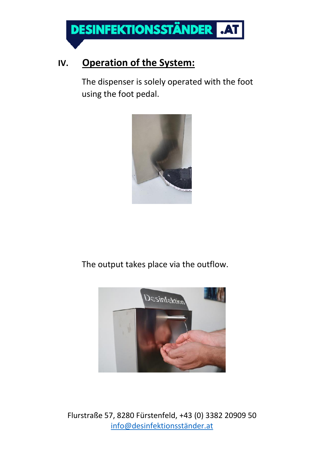

#### **IV. Operation of the System:**

The dispenser is solely operated with the foot using the foot pedal.



The output takes place via the outflow.

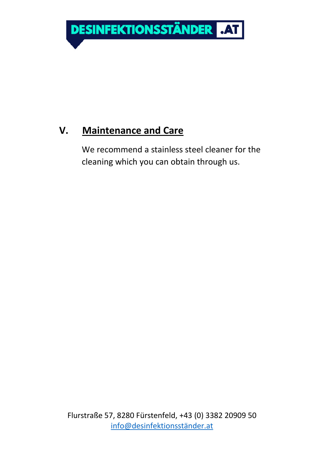

## **V. Maintenance and Care**

We recommend a stainless steel cleaner for the cleaning which you can obtain through us.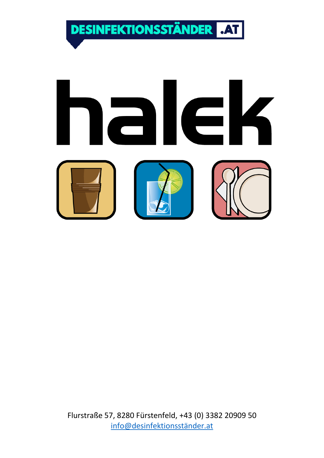**DESINFEKTIONSSTÄNDER**